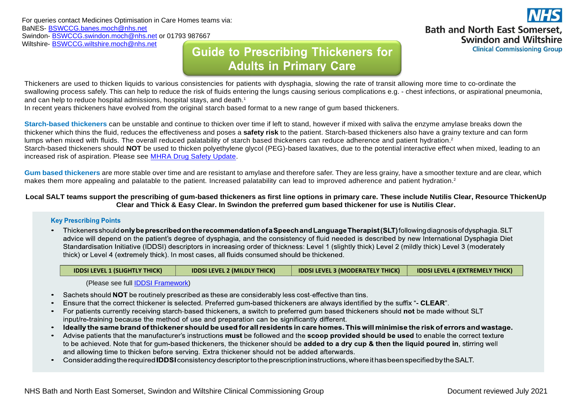For queries contact Medicines Optimisation in Care Homes teams via: BaNES- [BSWCCG.banes.moch@nhs.net](mailto:BSWCCG.banes.moch@nhs.net) Swindon- [BSWCCG.swindon.moch@nhs.net](mailto:BSWCCG.swindon.moch@nhs.net) or 01793 987667 Wiltshire- [BSWCCG.wiltshire.moch@nhs.net](mailto:BSWCCG.wiltshire.moch@nhs.net)

## **Guide to Prescribing Thickeners for Adults in Primary Care**

**Bath and North East Somerset. Swindon and Wiltshire Clinical Commissioning Group** 

Thickeners are used to thicken liquids to various consistencies for patients with dysphagia, slowing the rate of transit allowing more time to co-ordinate the swallowing process safely. This can help to reduce the risk of fluids entering the lungs causing serious complications e.g. - chest infections, or aspirational pneumonia, and can help to reduce hospital admissions, hospital stays, and death. 1

In recent years thickeners have evolved from the original starch based format to a new range of gum based thickeners.

**Starch-based thickeners** can be unstable and continue to thicken over time if left to stand, however if mixed with saliva the enzyme amylase breaks down the thickener which thins the fluid, reduces the effectiveness and poses a **safety risk** to the patient. Starch-based thickeners also have a grainy texture and can form lumps when mixed with fluids. The overall reduced palatability of starch based thickeners can reduce adherence and patient hydration.<sup>2</sup> Starch-based thickeners should **NOT** be used to thicken polyethylene glycol (PEG)-based laxatives, due to the potential interactive effect when mixed, leading to an increased risk of aspiration. Please see [MHRA Drug Safety Update.](https://www.gov.uk/drug-safety-update/polyethylene-glycol-peg-laxatives-and-starch-based-thickeners-potential-interactive-effect-when-mixed-leading-to-an-increased-risk-of-aspiration)

**Gum based thickeners** are more stable over time and are resistant to amylase and therefore safer. They are less grainy, have a smoother texture and are clear, which makes them more appealing and palatable to the patient. Increased palatability can lead to improved adherence and patient hydration.<sup>2</sup>

## **Local SALT teams support the prescribing of gum-based thickeners as first line options in primary care. These include Nutilis Clear, Resource ThickenUp Clear and Thick & Easy Clear. In Swindon the preferred gum based thickener for use is Nutilis Clear.**

## **Key Prescribing Points**

• Thickeners should only be prescribed on the recommendation of a Speech and Language Therapist (SLT) following diagnosis of dysphagia. SLT advice will depend on the patient's degree of dysphagia, and the consistency of fluid needed is described by new International Dysphagia Diet Standardisation Initiative (IDDSI) descriptors in increasing order of thickness: Level 1 (slightly thick) Level 2 (mildly thick) Level 3 (moderately thick) or Level 4 (extremely thick). In most cases, all fluids consumed should be thickened.

| <b>IDDSI LEVEL 1 (SLIGHTLY THICK)</b> | <b>IDDSI LEVEL 2 (MILDLY THICK)</b> | <b>IDDSI LEVEL 3 (MODERATELY THICK)</b> | <b>IDDSI LEVEL 4 (EXTREMELY THICK)</b> |
|---------------------------------------|-------------------------------------|-----------------------------------------|----------------------------------------|
|                                       |                                     |                                         |                                        |

(Please see full [IDDSI Framework\)](https://iddsi.org/framework/)

- Sachets should NOT be routinely prescribed as these are considerably less cost-effective than tins.
- Ensure that the correct thickener is selected. Preferred gum-based thickeners are always identified by the suffix "- CLEAR".
- For patients currently receiving starch-based thickeners, a switch to preferred gum based thickeners should not be made without SLT input/re-training because the method of use and preparation can be significantly different.
- ldeally the same brand of thickener should be used for all residents in care homes. This will minimise the risk of errors and wastage.  $\bullet$  .
- Advise patients that the manufacturer's instructions must be followed and the scoop provided should be used to enable the correct texture to be achieved. Note that for gum-based thickeners, the thickener should be added to a dry cup & then the liquid poured in, stirring well and allowing time to thicken before serving. Extra thickener should not be added afterwards.
- Consider adding the required **IDDSI** consistency descriptor to the prescription instructions, where it has been specified by the SALT.